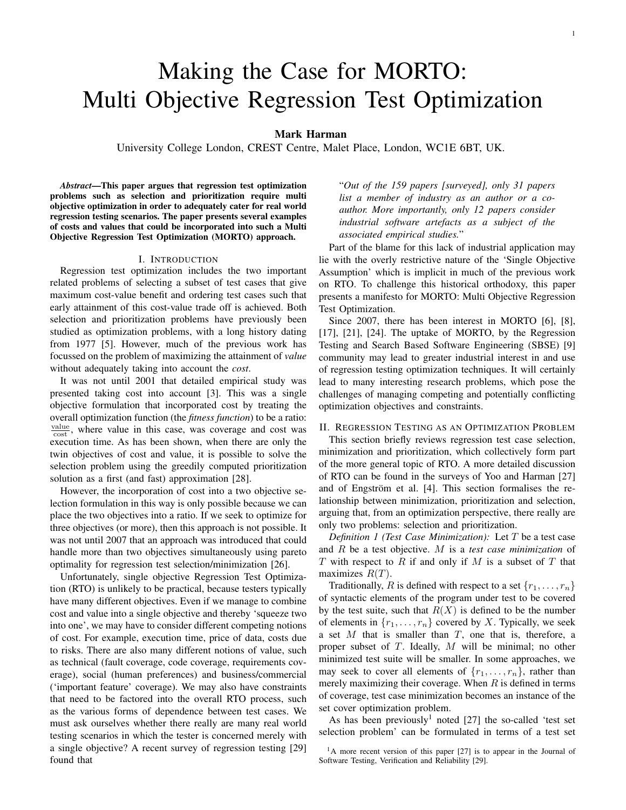# Making the Case for MORTO: Multi Objective Regression Test Optimization

## Mark Harman

University College London, CREST Centre, Malet Place, London, WC1E 6BT, UK.

*Abstract*—This paper argues that regression test optimization problems such as selection and prioritization require multi objective optimization in order to adequately cater for real world regression testing scenarios. The paper presents several examples of costs and values that could be incorporated into such a Multi Objective Regression Test Optimization (MORTO) approach.

## I. INTRODUCTION

Regression test optimization includes the two important related problems of selecting a subset of test cases that give maximum cost-value benefit and ordering test cases such that early attainment of this cost-value trade off is achieved. Both selection and prioritization problems have previously been studied as optimization problems, with a long history dating from 1977 [5]. However, much of the previous work has focussed on the problem of maximizing the attainment of *value* without adequately taking into account the *cost*.

It was not until 2001 that detailed empirical study was presented taking cost into account [3]. This was a single objective formulation that incorporated cost by treating the overall optimization function (the *fitness function*) to be a ratio:  $\frac{\text{value}}{\text{cost}}$ , where value in this case, was coverage and cost was execution time. As has been shown, when there are only the twin objectives of cost and value, it is possible to solve the selection problem using the greedily computed prioritization solution as a first (and fast) approximation [28].

However, the incorporation of cost into a two objective selection formulation in this way is only possible because we can place the two objectives into a ratio. If we seek to optimize for three objectives (or more), then this approach is not possible. It was not until 2007 that an approach was introduced that could handle more than two objectives simultaneously using pareto optimality for regression test selection/minimization [26].

Unfortunately, single objective Regression Test Optimization (RTO) is unlikely to be practical, because testers typically have many different objectives. Even if we manage to combine cost and value into a single objective and thereby 'squeeze two into one', we may have to consider different competing notions of cost. For example, execution time, price of data, costs due to risks. There are also many different notions of value, such as technical (fault coverage, code coverage, requirements coverage), social (human preferences) and business/commercial ('important feature' coverage). We may also have constraints that need to be factored into the overall RTO process, such as the various forms of dependence between test cases. We must ask ourselves whether there really are many real world testing scenarios in which the tester is concerned merely with a single objective? A recent survey of regression testing [29] found that

"*Out of the 159 papers [surveyed], only 31 papers list a member of industry as an author or a coauthor. More importantly, only 12 papers consider industrial software artefacts as a subject of the associated empirical studies.*"

Part of the blame for this lack of industrial application may lie with the overly restrictive nature of the 'Single Objective Assumption' which is implicit in much of the previous work on RTO. To challenge this historical orthodoxy, this paper presents a manifesto for MORTO: Multi Objective Regression Test Optimization.

Since 2007, there has been interest in MORTO [6], [8], [17], [21], [24]. The uptake of MORTO, by the Regression Testing and Search Based Software Engineering (SBSE) [9] community may lead to greater industrial interest in and use of regression testing optimization techniques. It will certainly lead to many interesting research problems, which pose the challenges of managing competing and potentially conflicting optimization objectives and constraints.

## II. REGRESSION TESTING AS AN OPTIMIZATION PROBLEM

This section briefly reviews regression test case selection, minimization and prioritization, which collectively form part of the more general topic of RTO. A more detailed discussion of RTO can be found in the surveys of Yoo and Harman [27] and of Engström et al. [4]. This section formalises the relationship between minimization, prioritization and selection, arguing that, from an optimization perspective, there really are only two problems: selection and prioritization.

*Definition 1 (Test Case Minimization):* Let T be a test case and R be a test objective. M is a *test case minimization* of  $T$  with respect to  $R$  if and only if  $M$  is a subset of  $T$  that maximizes  $R(T)$ .

Traditionally, R is defined with respect to a set  $\{r_1, \ldots, r_n\}$ of syntactic elements of the program under test to be covered by the test suite, such that  $R(X)$  is defined to be the number of elements in  $\{r_1, \ldots, r_n\}$  covered by X. Typically, we seek a set  $M$  that is smaller than  $T$ , one that is, therefore, a proper subset of T. Ideally, M will be minimal; no other minimized test suite will be smaller. In some approaches, we may seek to cover all elements of  $\{r_1, \ldots, r_n\}$ , rather than merely maximizing their coverage. When  $R$  is defined in terms of coverage, test case minimization becomes an instance of the set cover optimization problem.

As has been previously<sup>1</sup> noted [27] the so-called 'test set selection problem' can be formulated in terms of a test set

<sup>&</sup>lt;sup>1</sup>A more recent version of this paper [27] is to appear in the Journal of Software Testing, Verification and Reliability [29].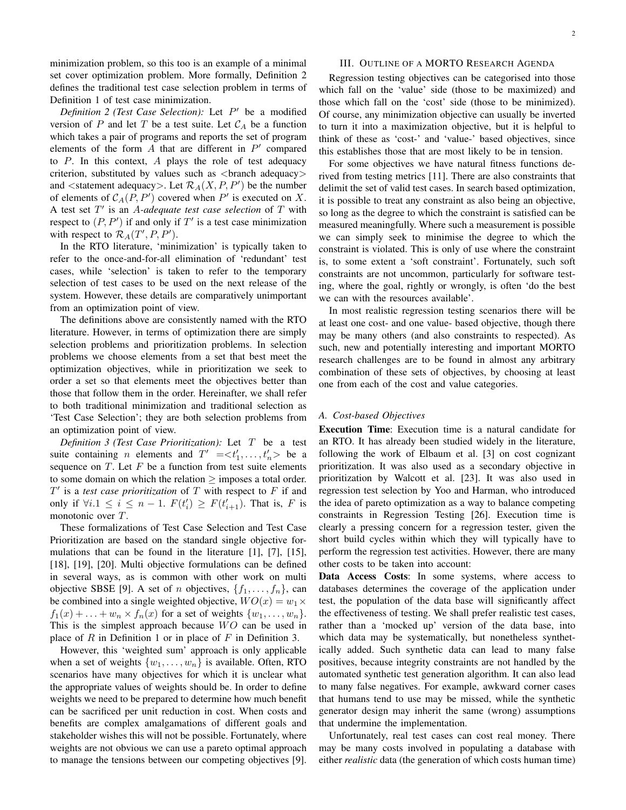minimization problem, so this too is an example of a minimal set cover optimization problem. More formally, Definition 2 defines the traditional test case selection problem in terms of Definition 1 of test case minimization.

Definition 2 (Test Case Selection): Let P' be a modified version of P and let T be a test suite. Let  $C_A$  be a function which takes a pair of programs and reports the set of program elements of the form  $A$  that are different in  $P'$  compared to  $P$ . In this context,  $A$  plays the role of test adequacy criterion, substituted by values such as <br/>branch adequacy> and  $\lt$  statement adequacy  $\gt$ . Let  $\mathcal{R}_A(X, P, P')$  be the number of elements of  $C_A(P, P')$  covered when  $P'$  is executed on X. A test set  $T'$  is an A-*adequate test case selection* of  $T$  with respect to  $(P, P')$  if and only if  $T'$  is a test case minimization with respect to  $\mathcal{R}_A(T', P, P')$ .

In the RTO literature, 'minimization' is typically taken to refer to the once-and-for-all elimination of 'redundant' test cases, while 'selection' is taken to refer to the temporary selection of test cases to be used on the next release of the system. However, these details are comparatively unimportant from an optimization point of view.

The definitions above are consistently named with the RTO literature. However, in terms of optimization there are simply selection problems and prioritization problems. In selection problems we choose elements from a set that best meet the optimization objectives, while in prioritization we seek to order a set so that elements meet the objectives better than those that follow them in the order. Hereinafter, we shall refer to both traditional minimization and traditional selection as 'Test Case Selection'; they are both selection problems from an optimization point of view.

*Definition 3 (Test Case Prioritization):* Let T be a test suite containing *n* elements and  $T' = \langle t'_1, \ldots, t'_n \rangle$  be a sequence on  $T$ . Let  $F$  be a function from test suite elements to some domain on which the relation ≥ imposes a total order.  $T'$  is a *test case prioritization* of  $T$  with respect to  $F$  if and only if  $\forall i.1 \leq i \leq n-1$ .  $F(t'_i) \geq F(t'_{i+1})$ . That is, F is monotonic over T.

These formalizations of Test Case Selection and Test Case Prioritization are based on the standard single objective formulations that can be found in the literature [1], [7], [15], [18], [19], [20]. Multi objective formulations can be defined in several ways, as is common with other work on multi objective SBSE [9]. A set of *n* objectives,  $\{f_1, \ldots, f_n\}$ , can be combined into a single weighted objective,  $WO(x) = w_1 \times$  $f_1(x) + \ldots + w_n \times f_n(x)$  for a set of weights  $\{w_1, \ldots, w_n\}$ . This is the simplest approach because  $WO$  can be used in place of  $R$  in Definition 1 or in place of  $F$  in Definition 3.

However, this 'weighted sum' approach is only applicable when a set of weights  $\{w_1, \ldots, w_n\}$  is available. Often, RTO scenarios have many objectives for which it is unclear what the appropriate values of weights should be. In order to define weights we need to be prepared to determine how much benefit can be sacrificed per unit reduction in cost. When costs and benefits are complex amalgamations of different goals and stakeholder wishes this will not be possible. Fortunately, where weights are not obvious we can use a pareto optimal approach to manage the tensions between our competing objectives [9].

#### III. OUTLINE OF A MORTO RESEARCH AGENDA

Regression testing objectives can be categorised into those which fall on the 'value' side (those to be maximized) and those which fall on the 'cost' side (those to be minimized). Of course, any minimization objective can usually be inverted to turn it into a maximization objective, but it is helpful to think of these as 'cost-' and 'value-' based objectives, since this establishes those that are most likely to be in tension.

For some objectives we have natural fitness functions derived from testing metrics [11]. There are also constraints that delimit the set of valid test cases. In search based optimization, it is possible to treat any constraint as also being an objective, so long as the degree to which the constraint is satisfied can be measured meaningfully. Where such a measurement is possible we can simply seek to minimise the degree to which the constraint is violated. This is only of use where the constraint is, to some extent a 'soft constraint'. Fortunately, such soft constraints are not uncommon, particularly for software testing, where the goal, rightly or wrongly, is often 'do the best we can with the resources available'.

In most realistic regression testing scenarios there will be at least one cost- and one value- based objective, though there may be many others (and also constraints to respected). As such, new and potentially interesting and important MORTO research challenges are to be found in almost any arbitrary combination of these sets of objectives, by choosing at least one from each of the cost and value categories.

## *A. Cost-based Objectives*

Execution Time: Execution time is a natural candidate for an RTO. It has already been studied widely in the literature, following the work of Elbaum et al. [3] on cost cognizant prioritization. It was also used as a secondary objective in prioritization by Walcott et al. [23]. It was also used in regression test selection by Yoo and Harman, who introduced the idea of pareto optimization as a way to balance competing constraints in Regression Testing [26]. Execution time is clearly a pressing concern for a regression tester, given the short build cycles within which they will typically have to perform the regression test activities. However, there are many other costs to be taken into account:

Data Access Costs: In some systems, where access to databases determines the coverage of the application under test, the population of the data base will significantly affect the effectiveness of testing. We shall prefer realistic test cases, rather than a 'mocked up' version of the data base, into which data may be systematically, but nonetheless synthetically added. Such synthetic data can lead to many false positives, because integrity constraints are not handled by the automated synthetic test generation algorithm. It can also lead to many false negatives. For example, awkward corner cases that humans tend to use may be missed, while the synthetic generator design may inherit the same (wrong) assumptions that undermine the implementation.

Unfortunately, real test cases can cost real money. There may be many costs involved in populating a database with either *realistic* data (the generation of which costs human time)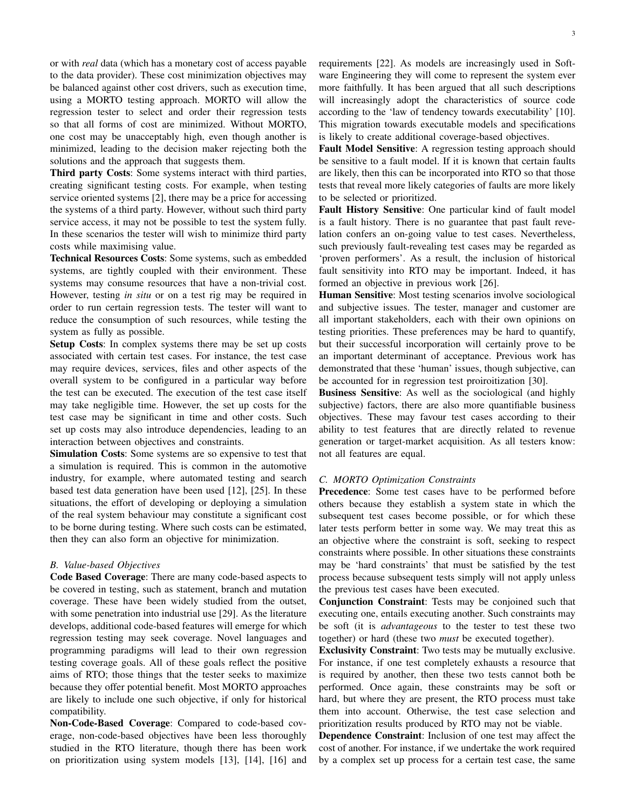3

or with *real* data (which has a monetary cost of access payable to the data provider). These cost minimization objectives may be balanced against other cost drivers, such as execution time, using a MORTO testing approach. MORTO will allow the regression tester to select and order their regression tests so that all forms of cost are minimized. Without MORTO, one cost may be unacceptably high, even though another is minimized, leading to the decision maker rejecting both the solutions and the approach that suggests them.

Third party Costs: Some systems interact with third parties, creating significant testing costs. For example, when testing service oriented systems [2], there may be a price for accessing the systems of a third party. However, without such third party service access, it may not be possible to test the system fully. In these scenarios the tester will wish to minimize third party costs while maximising value.

Technical Resources Costs: Some systems, such as embedded systems, are tightly coupled with their environment. These systems may consume resources that have a non-trivial cost. However, testing *in situ* or on a test rig may be required in order to run certain regression tests. The tester will want to reduce the consumption of such resources, while testing the system as fully as possible.

Setup Costs: In complex systems there may be set up costs associated with certain test cases. For instance, the test case may require devices, services, files and other aspects of the overall system to be configured in a particular way before the test can be executed. The execution of the test case itself may take negligible time. However, the set up costs for the test case may be significant in time and other costs. Such set up costs may also introduce dependencies, leading to an interaction between objectives and constraints.

Simulation Costs: Some systems are so expensive to test that a simulation is required. This is common in the automotive industry, for example, where automated testing and search based test data generation have been used [12], [25]. In these situations, the effort of developing or deploying a simulation of the real system behaviour may constitute a significant cost to be borne during testing. Where such costs can be estimated, then they can also form an objective for minimization.

## *B. Value-based Objectives*

Code Based Coverage: There are many code-based aspects to be covered in testing, such as statement, branch and mutation coverage. These have been widely studied from the outset, with some penetration into industrial use [29]. As the literature develops, additional code-based features will emerge for which regression testing may seek coverage. Novel languages and programming paradigms will lead to their own regression testing coverage goals. All of these goals reflect the positive aims of RTO; those things that the tester seeks to maximize because they offer potential benefit. Most MORTO approaches are likely to include one such objective, if only for historical compatibility.

Non-Code-Based Coverage: Compared to code-based coverage, non-code-based objectives have been less thoroughly studied in the RTO literature, though there has been work on prioritization using system models [13], [14], [16] and requirements [22]. As models are increasingly used in Software Engineering they will come to represent the system ever more faithfully. It has been argued that all such descriptions will increasingly adopt the characteristics of source code according to the 'law of tendency towards executability' [10]. This migration towards executable models and specifications is likely to create additional coverage-based objectives.

Fault Model Sensitive: A regression testing approach should be sensitive to a fault model. If it is known that certain faults are likely, then this can be incorporated into RTO so that those tests that reveal more likely categories of faults are more likely to be selected or prioritized.

Fault History Sensitive: One particular kind of fault model is a fault history. There is no guarantee that past fault revelation confers an on-going value to test cases. Nevertheless, such previously fault-revealing test cases may be regarded as 'proven performers'. As a result, the inclusion of historical fault sensitivity into RTO may be important. Indeed, it has formed an objective in previous work [26].

Human Sensitive: Most testing scenarios involve sociological and subjective issues. The tester, manager and customer are all important stakeholders, each with their own opinions on testing priorities. These preferences may be hard to quantify, but their successful incorporation will certainly prove to be an important determinant of acceptance. Previous work has demonstrated that these 'human' issues, though subjective, can be accounted for in regression test proiroitization [30].

Business Sensitive: As well as the sociological (and highly subjective) factors, there are also more quantifiable business objectives. These may favour test cases according to their ability to test features that are directly related to revenue generation or target-market acquisition. As all testers know: not all features are equal.

## *C. MORTO Optimization Constraints*

Precedence: Some test cases have to be performed before others because they establish a system state in which the subsequent test cases become possible, or for which these later tests perform better in some way. We may treat this as an objective where the constraint is soft, seeking to respect constraints where possible. In other situations these constraints may be 'hard constraints' that must be satisfied by the test process because subsequent tests simply will not apply unless the previous test cases have been executed.

Conjunction Constraint: Tests may be conjoined such that executing one, entails executing another. Such constraints may be soft (it is *advantageous* to the tester to test these two together) or hard (these two *must* be executed together).

Exclusivity Constraint: Two tests may be mutually exclusive. For instance, if one test completely exhausts a resource that is required by another, then these two tests cannot both be performed. Once again, these constraints may be soft or hard, but where they are present, the RTO process must take them into account. Otherwise, the test case selection and prioritization results produced by RTO may not be viable.

Dependence Constraint: Inclusion of one test may affect the cost of another. For instance, if we undertake the work required by a complex set up process for a certain test case, the same